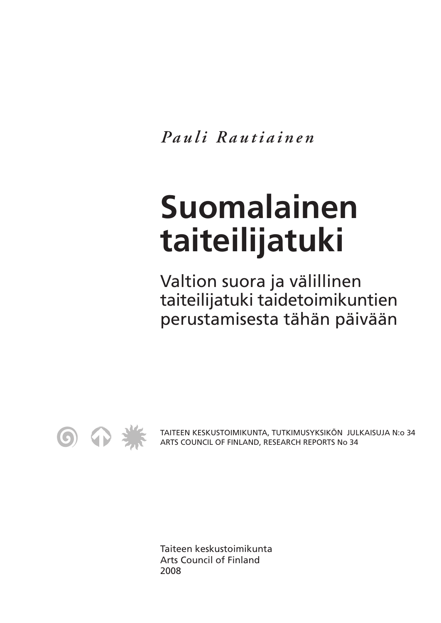*Pauli Rautiainen*

# **Suomalainen taiteilijatuki**

Valtion suora ja välillinen taiteilijatuki taidetoimikuntien perustamisesta tähän päivään



TAITEEN KESKUSTOIMIKUNTA, TUTKIMUSYKSIKÖN JULKAISUJA N:o 34 ARTS COUNCIL OF FINLAND, RESEARCH REPORTS No 34

Taiteen keskustoimikunta Arts Council of Finland 2008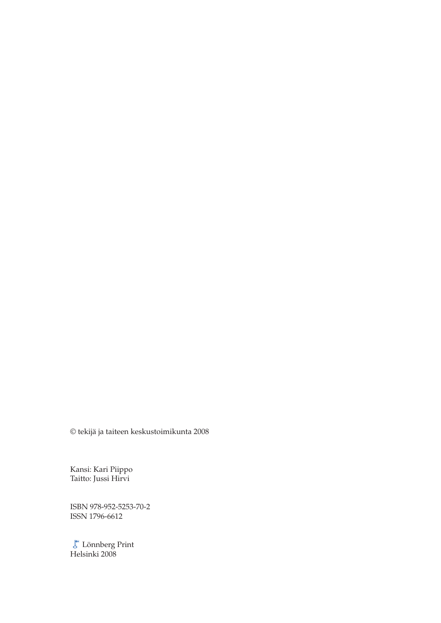© tekijä ja taiteen keskustoimikunta 2008

Kansi: Kari Piippo Taitto: Jussi Hirvi

ISBN 978-952-5253-70-2 ISSN 1796-6612

Lönnberg Print Helsinki 2008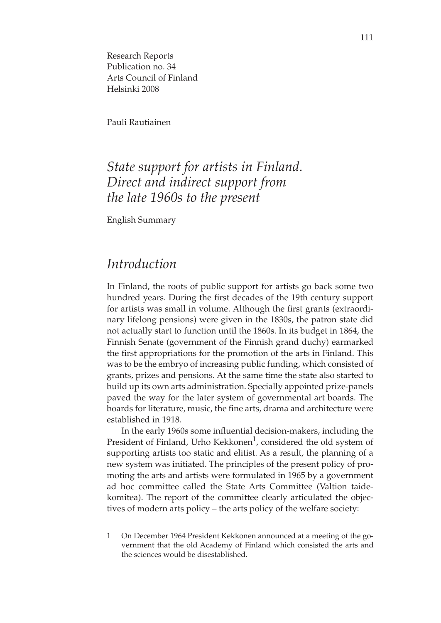Research Reports Publication no. 34 Arts Council of Finland Helsinki 2008

Pauli Rautiainen

## *State support for artists in Finland. Direct and indirect support from the late 1960s to the present*

English Summary

#### *Introduction*

In Finland, the roots of public support for artists go back some two hundred years. During the first decades of the 19th century support for artists was small in volume. Although the first grants (extraordinary lifelong pensions) were given in the 1830s, the patron state did not actually start to function until the 1860s. In its budget in 1864, the Finnish Senate (government of the Finnish grand duchy) earmarked the first appropriations for the promotion of the arts in Finland. This was to be the embryo of increasing public funding, which consisted of grants, prizes and pensions. At the same time the state also started to build up its own arts administration. Specially appointed prize-panels paved the way for the later system of governmental art boards. The boards for literature, music, the fine arts, drama and architecture were established in 1918.

In the early 1960s some influential decision-makers, including the President of Finland, Urho Kekkonen<sup>1</sup>, considered the old system of supporting artists too static and elitist. As a result, the planning of a new system was initiated. The principles of the present policy of promoting the arts and artists were formulated in 1965 by a government ad hoc committee called the State Arts Committee (Valtion taidekomitea). The report of the committee clearly articulated the objectives of modern arts policy – the arts policy of the welfare society:

<sup>1</sup> On December 1964 President Kekkonen announced at a meeting of the government that the old Academy of Finland which consisted the arts and the sciences would be disestablished.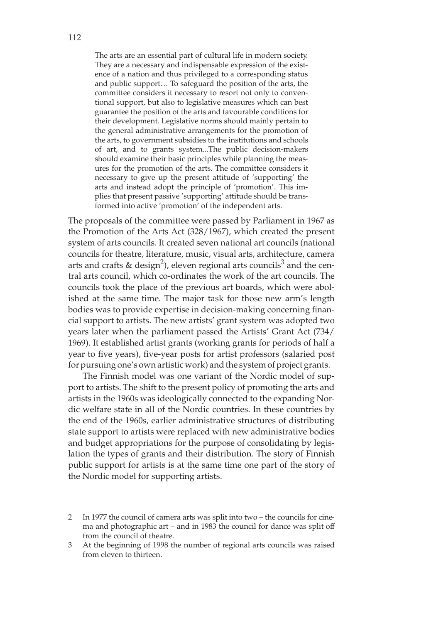The arts are an essential part of cultural life in modern society. They are a necessary and indispensable expression of the existence of a nation and thus privileged to a corresponding status and public support… To safeguard the position of the arts, the committee considers it necessary to resort not only to conventional support, but also to legislative measures which can best guarantee the position of the arts and favourable conditions for their development. Legislative norms should mainly pertain to the general administrative arrangements for the promotion of the arts, to government subsidies to the institutions and schools of art, and to grants system...The public decision-makers should examine their basic principles while planning the measures for the promotion of the arts. The committee considers it necessary to give up the present attitude of 'supporting' the arts and instead adopt the principle of 'promotion'. This implies that present passive 'supporting' attitude should be transformed into active 'promotion' of the independent arts.

The proposals of the committee were passed by Parliament in 1967 as the Promotion of the Arts Act (328/1967), which created the present system of arts councils. It created seven national art councils (national councils for theatre, literature, music, visual arts, architecture, camera arts and crafts & design<sup>2</sup>), eleven regional arts councils<sup>3</sup> and the central arts council, which co-ordinates the work of the art councils. The councils took the place of the previous art boards, which were abolished at the same time. The major task for those new arm's length bodies was to provide expertise in decision-making concerning financial support to artists. The new artists' grant system was adopted two years later when the parliament passed the Artists' Grant Act (734/ 1969). It established artist grants (working grants for periods of half a year to five years), five-year posts for artist professors (salaried post for pursuing one's own artistic work) and the system of project grants.

The Finnish model was one variant of the Nordic model of support to artists. The shift to the present policy of promoting the arts and artists in the 1960s was ideologically connected to the expanding Nordic welfare state in all of the Nordic countries. In these countries by the end of the 1960s, earlier administrative structures of distributing state support to artists were replaced with new administrative bodies and budget appropriations for the purpose of consolidating by legislation the types of grants and their distribution. The story of Finnish public support for artists is at the same time one part of the story of the Nordic model for supporting artists.

<sup>2</sup> In 1977 the council of camera arts was split into two – the councils for cinema and photographic art – and in 1983 the council for dance was split off from the council of theatre.

<sup>3</sup> At the beginning of 1998 the number of regional arts councils was raised from eleven to thirteen.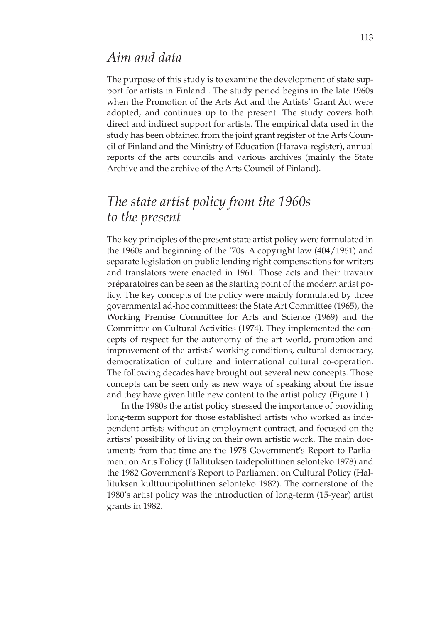#### *Aim and data*

The purpose of this study is to examine the development of state support for artists in Finland . The study period begins in the late 1960s when the Promotion of the Arts Act and the Artists' Grant Act were adopted, and continues up to the present. The study covers both direct and indirect support for artists. The empirical data used in the study has been obtained from the joint grant register of the Arts Council of Finland and the Ministry of Education (Harava-register), annual reports of the arts councils and various archives (mainly the State Archive and the archive of the Arts Council of Finland).

# *The state artist policy from the 1960s to the present*

The key principles of the present state artist policy were formulated in the 1960s and beginning of the '70s. A copyright law (404/1961) and separate legislation on public lending right compensations for writers and translators were enacted in 1961. Those acts and their travaux préparatoires can be seen as the starting point of the modern artist policy. The key concepts of the policy were mainly formulated by three governmental ad-hoc committees: the State Art Committee (1965), the Working Premise Committee for Arts and Science (1969) and the Committee on Cultural Activities (1974). They implemented the concepts of respect for the autonomy of the art world, promotion and improvement of the artists' working conditions, cultural democracy, democratization of culture and international cultural co-operation. The following decades have brought out several new concepts. Those concepts can be seen only as new ways of speaking about the issue and they have given little new content to the artist policy. (Figure 1.)

In the 1980s the artist policy stressed the importance of providing long-term support for those established artists who worked as independent artists without an employment contract, and focused on the artists' possibility of living on their own artistic work. The main documents from that time are the 1978 Government's Report to Parliament on Arts Policy (Hallituksen taidepoliittinen selonteko 1978) and the 1982 Government's Report to Parliament on Cultural Policy (Hallituksen kulttuuripoliittinen selonteko 1982). The cornerstone of the 1980's artist policy was the introduction of long-term (15-year) artist grants in 1982.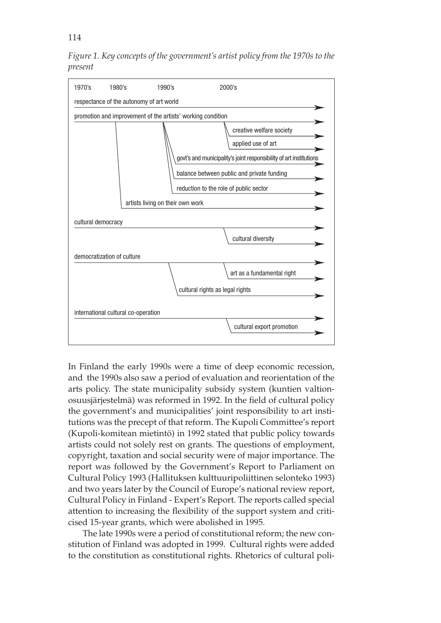114

*Figure 1. Key concepts of the government's artist policy from the 1970s to the present*



In Finland the early 1990s were a time of deep economic recession, and the 1990s also saw a period of evaluation and reorientation of the arts policy. The state municipality subsidy system (kuntien valtionosuusjärjestelmä) was reformed in 1992. In the field of cultural policy the government's and municipalities' joint responsibility to art institutions was the precept of that reform. The Kupoli Committee's report (Kupoli-komitean mietintö) in 1992 stated that public policy towards artists could not solely rest on grants. The questions of employment, copyright, taxation and social security were of major importance. The report was followed by the Government's Report to Parliament on Cultural Policy 1993 (Hallituksen kulttuuripoliittinen selonteko 1993) and two years later by the Council of Europe's national review report, Cultural Policy in Finland - Expert's Report. The reports called special attention to increasing the flexibility of the support system and criticised 15-year grants, which were abolished in 1995.

The late 1990s were a period of constitutional reform; the new constitution of Finland was adopted in 1999. Cultural rights were added to the constitution as constitutional rights. Rhetorics of cultural poli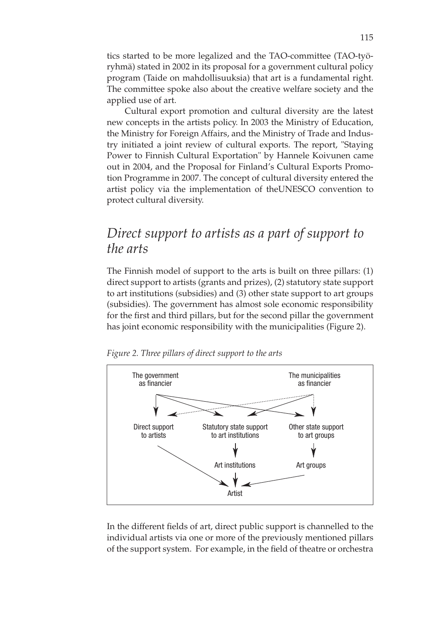tics started to be more legalized and the TAO-committee (TAO-työryhmä) stated in 2002 in its proposal for a government cultural policy program (Taide on mahdollisuuksia) that art is a fundamental right. The committee spoke also about the creative welfare society and the applied use of art.

Cultural export promotion and cultural diversity are the latest new concepts in the artists policy. In 2003 the Ministry of Education, the Ministry for Foreign Affairs, and the Ministry of Trade and Industry initiated a joint review of cultural exports. The report, "Staying Power to Finnish Cultural Exportation" by Hannele Koivunen came out in 2004, and the Proposal for Finland's Cultural Exports Promotion Programme in 2007. The concept of cultural diversity entered the artist policy via the implementation of theUNESCO convention to protect cultural diversity.

# *Direct support to artists as a part of support to the arts*

The Finnish model of support to the arts is built on three pillars: (1) direct support to artists (grants and prizes), (2) statutory state support to art institutions (subsidies) and (3) other state support to art groups (subsidies). The government has almost sole economic responsibility for the first and third pillars, but for the second pillar the government has joint economic responsibility with the municipalities (Figure 2).



*Figure 2. Three pillars of direct support to the arts*

In the different fields of art, direct public support is channelled to the individual artists via one or more of the previously mentioned pillars of the support system. For example, in the field of theatre or orchestra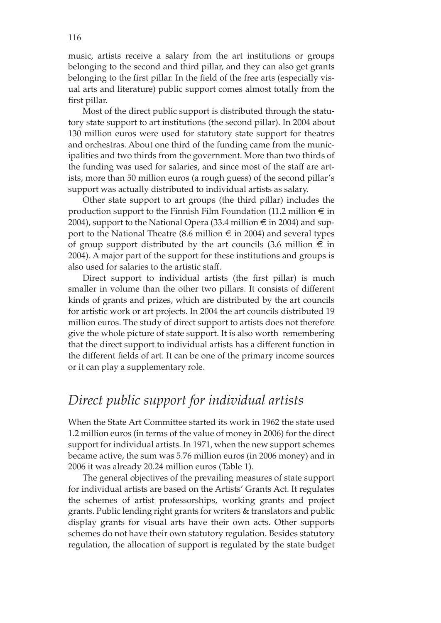music, artists receive a salary from the art institutions or groups belonging to the second and third pillar, and they can also get grants belonging to the first pillar. In the field of the free arts (especially visual arts and literature) public support comes almost totally from the first pillar.

Most of the direct public support is distributed through the statutory state support to art institutions (the second pillar). In 2004 about 130 million euros were used for statutory state support for theatres and orchestras. About one third of the funding came from the municipalities and two thirds from the government. More than two thirds of the funding was used for salaries, and since most of the staff are artists, more than 50 million euros (a rough guess) of the second pillar's support was actually distributed to individual artists as salary.

Other state support to art groups (the third pillar) includes the production support to the Finnish Film Foundation (11.2 million  $\epsilon$  in 2004), support to the National Opera (33.4 million  $\epsilon$  in 2004) and support to the National Theatre (8.6 million  $\epsilon$  in 2004) and several types of group support distributed by the art councils (3.6 million  $\epsilon$  in 2004). A major part of the support for these institutions and groups is also used for salaries to the artistic staff.

Direct support to individual artists (the first pillar) is much smaller in volume than the other two pillars. It consists of different kinds of grants and prizes, which are distributed by the art councils for artistic work or art projects. In 2004 the art councils distributed 19 million euros. The study of direct support to artists does not therefore give the whole picture of state support. It is also worth remembering that the direct support to individual artists has a different function in the different fields of art. It can be one of the primary income sources or it can play a supplementary role.

### *Direct public support for individual artists*

When the State Art Committee started its work in 1962 the state used 1.2 million euros (in terms of the value of money in 2006) for the direct support for individual artists. In 1971, when the new support schemes became active, the sum was 5.76 million euros (in 2006 money) and in 2006 it was already 20.24 million euros (Table 1).

The general objectives of the prevailing measures of state support for individual artists are based on the Artists' Grants Act. It regulates the schemes of artist professorships, working grants and project grants. Public lending right grants for writers & translators and public display grants for visual arts have their own acts. Other supports schemes do not have their own statutory regulation. Besides statutory regulation, the allocation of support is regulated by the state budget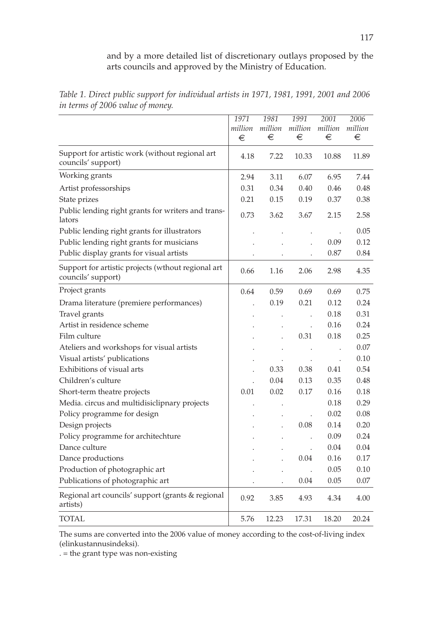and by a more detailed list of discretionary outlays proposed by the arts councils and approved by the Ministry of Education.

|                                                                          | 1971    | 1981                 | 1991    | 2001                 | 2006    |
|--------------------------------------------------------------------------|---------|----------------------|---------|----------------------|---------|
|                                                                          | million | million              | million | million              | million |
|                                                                          | €       | €                    | €       | €                    | €       |
| Support for artistic work (without regional art<br>councils' support)    | 4.18    | 7.22                 | 10.33   | 10.88                | 11.89   |
| Working grants                                                           | 2.94    | 3.11                 | 6.07    | 6.95                 | 7.44    |
| Artist professorships                                                    | 0.31    | 0.34                 | 0.40    | 0.46                 | 0.48    |
| State prizes                                                             | 0.21    | 0.15                 | 0.19    | 0.37                 | 0.38    |
| Public lending right grants for writers and trans-<br>lators             | 0.73    | 3.62                 | 3.67    | 2.15                 | 2.58    |
| Public lending right grants for illustrators                             |         |                      |         |                      | 0.05    |
| Public lending right grants for musicians                                |         |                      |         | 0.09                 | 0.12    |
| Public display grants for visual artists                                 |         |                      |         | 0.87                 | 0.84    |
| Support for artistic projects (wthout regional art<br>councils' support) | 0.66    | 1.16                 | 2.06    | 2.98                 | 4.35    |
| Project grants                                                           | 0.64    | 0.59                 | 0.69    | 0.69                 | 0.75    |
| Drama literature (premiere performances)                                 |         | 0.19                 | 0.21    | 0.12                 | 0.24    |
| Travel grants                                                            |         |                      |         | 0.18                 | 0.31    |
| Artist in residence scheme                                               |         |                      |         | 0.16                 | 0.24    |
| Film culture                                                             |         |                      | 0.31    | 0.18                 | 0.25    |
| Ateliers and workshops for visual artists                                |         | $\ddot{\phantom{0}}$ |         | $\ddot{\phantom{a}}$ | 0.07    |
| Visual artists' publications                                             |         |                      |         | $\ddot{\phantom{a}}$ | 0.10    |
| Exhibitions of visual arts                                               |         | 0.33                 | 0.38    | 0.41                 | 0.54    |
| Children's culture                                                       |         | 0.04                 | 0.13    | 0.35                 | 0.48    |
| Short-term theatre projects                                              | 0.01    | 0.02                 | 0.17    | 0.16                 | 0.18    |
| Media. circus and multidisiclipnary projects                             |         |                      |         | 0.18                 | 0.29    |
| Policy programme for design                                              |         |                      |         | 0.02                 | 0.08    |
| Design projects                                                          |         |                      | 0.08    | 0.14                 | 0.20    |
| Policy programme for architechture                                       |         |                      |         | 0.09                 | 0.24    |
| Dance culture                                                            |         |                      |         | 0.04                 | 0.04    |
| Dance productions                                                        |         |                      | 0.04    | 0.16                 | 0.17    |
| Production of photographic art                                           |         |                      |         | 0.05                 | 0.10    |
| Publications of photographic art                                         |         |                      | 0.04    | 0.05                 | 0.07    |
| Regional art councils' support (grants & regional<br>artists)            | 0.92    | 3.85                 | 4.93    | 4.34                 | 4.00    |
| TOTAL                                                                    | 5.76    | 12.23                | 17.31   | 18.20                | 20.24   |

*Table 1. Direct public support for individual artists in 1971, 1981, 1991, 2001 and 2006 in terms of 2006 value of money.*

The sums are converted into the 2006 value of money according to the cost-of-living index (elinkustannusindeksi).

. = the grant type was non-existing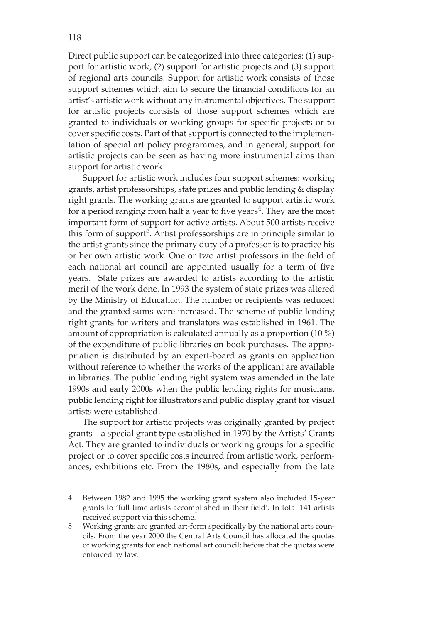Direct public support can be categorized into three categories: (1) support for artistic work, (2) support for artistic projects and (3) support of regional arts councils. Support for artistic work consists of those support schemes which aim to secure the financial conditions for an artist's artistic work without any instrumental objectives. The support for artistic projects consists of those support schemes which are granted to individuals or working groups for specific projects or to cover specific costs. Part of that support is connected to the implementation of special art policy programmes, and in general, support for artistic projects can be seen as having more instrumental aims than support for artistic work.

Support for artistic work includes four support schemes: working grants, artist professorships, state prizes and public lending & display right grants. The working grants are granted to support artistic work for a period ranging from half a year to five years<sup>4</sup>. They are the most important form of support for active artists. About 500 artists receive this form of support<sup>5</sup>. Artist professorships are in principle similar to the artist grants since the primary duty of a professor is to practice his or her own artistic work. One or two artist professors in the field of each national art council are appointed usually for a term of five years. State prizes are awarded to artists according to the artistic merit of the work done. In 1993 the system of state prizes was altered by the Ministry of Education. The number or recipients was reduced and the granted sums were increased. The scheme of public lending right grants for writers and translators was established in 1961. The amount of appropriation is calculated annually as a proportion (10 %) of the expenditure of public libraries on book purchases. The appropriation is distributed by an expert-board as grants on application without reference to whether the works of the applicant are available in libraries. The public lending right system was amended in the late 1990s and early 2000s when the public lending rights for musicians, public lending right for illustrators and public display grant for visual artists were established.

The support for artistic projects was originally granted by project grants – a special grant type established in 1970 by the Artists' Grants Act. They are granted to individuals or working groups for a specific project or to cover specific costs incurred from artistic work, performances, exhibitions etc. From the 1980s, and especially from the late

<sup>4</sup> Between 1982 and 1995 the working grant system also included 15-year grants to 'full-time artists accomplished in their field'. In total 141 artists received support via this scheme.

<sup>5</sup> Working grants are granted art-form specifically by the national arts councils. From the year 2000 the Central Arts Council has allocated the quotas of working grants for each national art council; before that the quotas were enforced by law.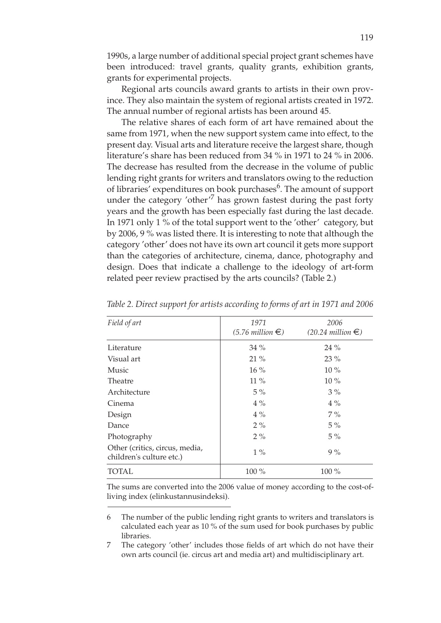1990s, a large number of additional special project grant schemes have been introduced: travel grants, quality grants, exhibition grants, grants for experimental projects.

Regional arts councils award grants to artists in their own province. They also maintain the system of regional artists created in 1972. The annual number of regional artists has been around 45.

The relative shares of each form of art have remained about the same from 1971, when the new support system came into effect, to the present day. Visual arts and literature receive the largest share, though literature's share has been reduced from 34 % in 1971 to 24 % in 2006. The decrease has resulted from the decrease in the volume of public lending right grants for writers and translators owing to the reduction of libraries' expenditures on book purchases<sup>6</sup>. The amount of support under the category 'other'<sup>7</sup> has grown fastest during the past forty years and the growth has been especially fast during the last decade. In 1971 only 1 % of the total support went to the 'other' category, but by 2006, 9 % was listed there. It is interesting to note that although the category 'other' does not have its own art council it gets more support than the categories of architecture, cinema, dance, photography and design. Does that indicate a challenge to the ideology of art-form related peer review practised by the arts councils? (Table 2.)

| Field of art                                               | 1971<br>$(5.76 \text{ million} \in)$ | 2006<br>$(20.24 \text{ million} \in)$ |
|------------------------------------------------------------|--------------------------------------|---------------------------------------|
| Literature                                                 | $34\%$                               | $24\%$                                |
| Visual art                                                 | $21\%$                               | $23\%$                                |
| Music                                                      | $16\%$                               | $10\%$                                |
| Theatre                                                    | $11\%$                               | $10\%$                                |
| Architecture                                               | $5\%$                                | $3\%$                                 |
| Cinema                                                     | $4\%$                                | $4\%$                                 |
| Design                                                     | $4\%$                                | $7\%$                                 |
| Dance                                                      | $2\%$                                | $5\%$                                 |
| Photography                                                | $2\%$                                | $5\%$                                 |
| Other (critics, circus, media,<br>children's culture etc.) | $1\%$                                | $9\%$                                 |
| TOTAL                                                      | 100 %                                | $100\%$                               |

*Table 2. Direct support for artists according to forms of art in 1971 and 2006*

The sums are converted into the 2006 value of money according to the cost-ofliving index (elinkustannusindeksi).

6 The number of the public lending right grants to writers and translators is calculated each year as 10 % of the sum used for book purchases by public libraries.

7 The category 'other' includes those fields of art which do not have their own arts council (ie. circus art and media art) and multidisciplinary art.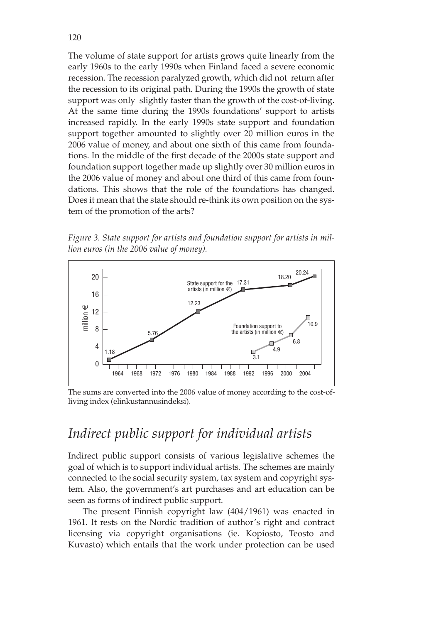The volume of state support for artists grows quite linearly from the early 1960s to the early 1990s when Finland faced a severe economic recession. The recession paralyzed growth, which did not return after the recession to its original path. During the 1990s the growth of state support was only slightly faster than the growth of the cost-of-living. At the same time during the 1990s foundations' support to artists increased rapidly. In the early 1990s state support and foundation support together amounted to slightly over 20 million euros in the 2006 value of money, and about one sixth of this came from foundations. In the middle of the first decade of the 2000s state support and foundation support together made up slightly over 30 million euros in the 2006 value of money and about one third of this came from foundations. This shows that the role of the foundations has changed. Does it mean that the state should re-think its own position on the system of the promotion of the arts?

*Figure 3. State support for artists and foundation support for artists in million euros (in the 2006 value of money).*



The sums are converted into the 2006 value of money according to the cost-ofliving index (elinkustannusindeksi).

### *Indirect public support for individual artists*

Indirect public support consists of various legislative schemes the goal of which is to support individual artists. The schemes are mainly connected to the social security system, tax system and copyright system. Also, the government's art purchases and art education can be seen as forms of indirect public support.

The present Finnish copyright law (404/1961) was enacted in 1961. It rests on the Nordic tradition of author's right and contract licensing via copyright organisations (ie. Kopiosto, Teosto and Kuvasto) which entails that the work under protection can be used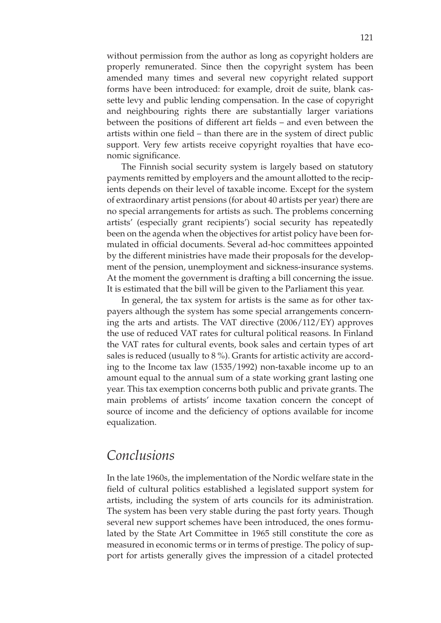without permission from the author as long as copyright holders are properly remunerated. Since then the copyright system has been amended many times and several new copyright related support forms have been introduced: for example, droit de suite, blank cassette levy and public lending compensation. In the case of copyright and neighbouring rights there are substantially larger variations between the positions of different art fields – and even between the artists within one field – than there are in the system of direct public support. Very few artists receive copyright royalties that have economic significance.

The Finnish social security system is largely based on statutory payments remitted by employers and the amount allotted to the recipients depends on their level of taxable income. Except for the system of extraordinary artist pensions (for about 40 artists per year) there are no special arrangements for artists as such. The problems concerning artists' (especially grant recipients') social security has repeatedly been on the agenda when the objectives for artist policy have been formulated in official documents. Several ad-hoc committees appointed by the different ministries have made their proposals for the development of the pension, unemployment and sickness-insurance systems. At the moment the government is drafting a bill concerning the issue. It is estimated that the bill will be given to the Parliament this year.

In general, the tax system for artists is the same as for other taxpayers although the system has some special arrangements concerning the arts and artists. The VAT directive (2006/112/EY) approves the use of reduced VAT rates for cultural political reasons. In Finland the VAT rates for cultural events, book sales and certain types of art sales is reduced (usually to 8%). Grants for artistic activity are according to the Income tax law (1535/1992) non-taxable income up to an amount equal to the annual sum of a state working grant lasting one year. This tax exemption concerns both public and private grants. The main problems of artists' income taxation concern the concept of source of income and the deficiency of options available for income equalization.

#### *Conclusions*

In the late 1960s, the implementation of the Nordic welfare state in the field of cultural politics established a legislated support system for artists, including the system of arts councils for its administration. The system has been very stable during the past forty years. Though several new support schemes have been introduced, the ones formulated by the State Art Committee in 1965 still constitute the core as measured in economic terms or in terms of prestige. The policy of support for artists generally gives the impression of a citadel protected